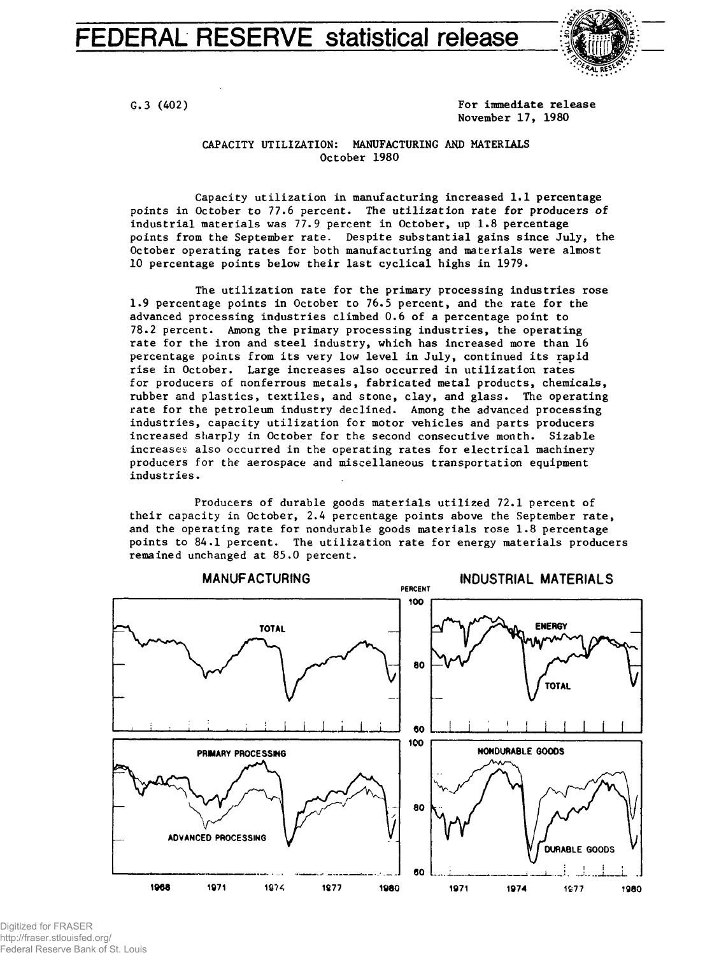FEDERAL RESERVE statistical release



G.3 (402) C.3 (402) November 17, 1980

## CAPACITY UTILIZATION: MANUFACTURING AND MATERIALS October 1980

Capacity utilization in manufacturing increased 1.1 percentage points in October to 77.6 percent. The utilization rate for producers of industrial materials was 77.9 percent in October, up 1.8 percentage points from the September rate. Despite substantial gains since July, the October operating rates for both manufacturing and materials were almost 10 percentage points below their last cyclical highs in 1979.

The utilization rate for the primary processing industries rose 1.9 percentage points in October to 76.5 percent, and the rate for the advanced processing industries climbed 0.6 of a percentage point to 78.2 percent. Among the primary processing industries, the operating rate for the iron and steel industry, which has increased more than 16 percentage points from its very low level in July, continued its rapid rise in October. Large increases also occurred in utilization rates for producers of nonferrous metals, fabricated metal products, chemicals, rubber and plastics, textiles, and stone, clay, and glass. The operating rate for the petroleum industry declined. Among the advanced processing industries, capacity utilization for motor vehicles and parts producers increased sharply in October for the second consecutive month. Sizable increases also occurred in the operating rates for electrical machinery producers for the aerospace and miscellaneous transportation equipment industries.

Producers of durable goods materials utilized 72.1 percent of their capacity in October, 2.4 percentage points above the September rate, and the operating rate for nondurable goods materials rose 1.8 percentage points to 84.1 percent. The utilization rate for energy materials producers remained unchanged at 85.0 percent.